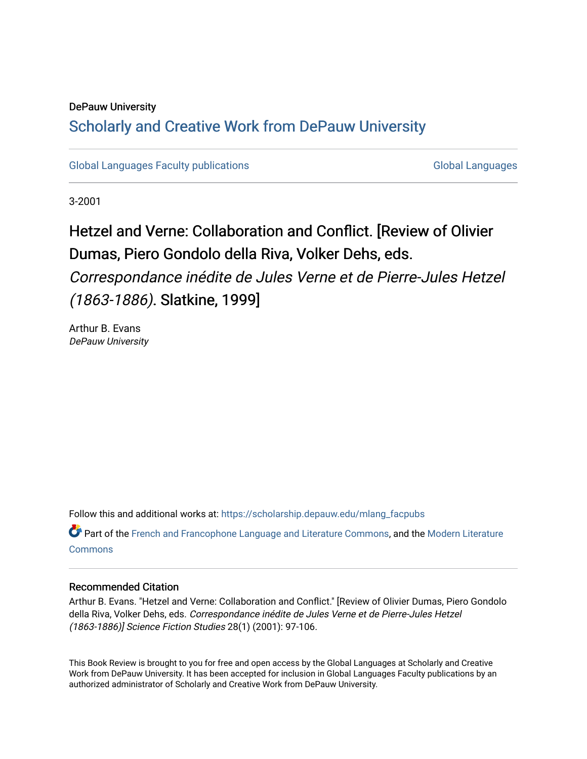#### DePauw University

## Scholarly and [Creative Work from DePauw Univ](https://scholarship.depauw.edu/)ersity

[Global Languages Faculty publications](https://scholarship.depauw.edu/mlang_facpubs) [Global Languages](https://scholarship.depauw.edu/modernlanguages) Global Languages

3-2001

## Hetzel and Verne: Collaboration and Conflict. [Review of Olivier Dumas, Piero Gondolo della Riva, Volker Dehs, eds.

Correspondance inédite de Jules Verne et de Pierre-Jules Hetzel (1863-1886). Slatkine, 1999]

Arthur B. Evans DePauw University

Follow this and additional works at: [https://scholarship.depauw.edu/mlang\\_facpubs](https://scholarship.depauw.edu/mlang_facpubs?utm_source=scholarship.depauw.edu%2Fmlang_facpubs%2F27&utm_medium=PDF&utm_campaign=PDFCoverPages)

Part of the [French and Francophone Language and Literature Commons,](https://network.bepress.com/hgg/discipline/463?utm_source=scholarship.depauw.edu%2Fmlang_facpubs%2F27&utm_medium=PDF&utm_campaign=PDFCoverPages) and the [Modern Literature](https://network.bepress.com/hgg/discipline/1050?utm_source=scholarship.depauw.edu%2Fmlang_facpubs%2F27&utm_medium=PDF&utm_campaign=PDFCoverPages) **[Commons](https://network.bepress.com/hgg/discipline/1050?utm_source=scholarship.depauw.edu%2Fmlang_facpubs%2F27&utm_medium=PDF&utm_campaign=PDFCoverPages)** 

#### Recommended Citation

Arthur B. Evans. "Hetzel and Verne: Collaboration and Conflict." [Review of Olivier Dumas, Piero Gondolo della Riva, Volker Dehs, eds. Correspondance inédite de Jules Verne et de Pierre-Jules Hetzel (1863-1886)] Science Fiction Studies 28(1) (2001): 97-106.

This Book Review is brought to you for free and open access by the Global Languages at Scholarly and Creative Work from DePauw University. It has been accepted for inclusion in Global Languages Faculty publications by an authorized administrator of Scholarly and Creative Work from DePauw University.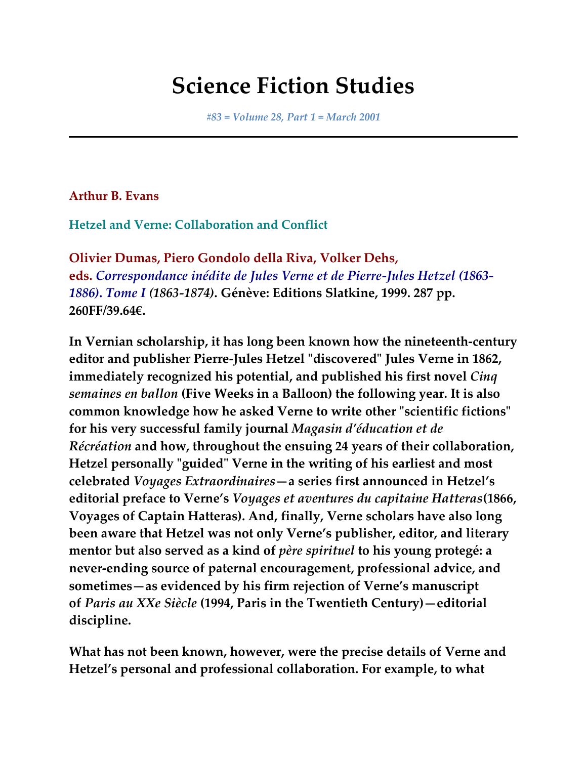# **Science Fiction Studies**

*#83 = Volume 28, Part 1 = March 2001*

**Arthur B. Evans**

**Hetzel and Verne: Collaboration and Conflict**

**Olivier Dumas, Piero Gondolo della Riva, Volker Dehs, eds.** *Correspondance inédite de Jules Verne et de Pierre-Jules Hetzel (1863- 1886)***.** *Tome I (1863-1874)***. Génève: Editions Slatkine, 1999. 287 pp. 260FF/39.64€.**

**In Vernian scholarship, it has long been known how the nineteenth-century editor and publisher Pierre-Jules Hetzel "discovered" Jules Verne in 1862, immediately recognized his potential, and published his first novel** *Cinq semaines en ballon* **(Five Weeks in a Balloon) the following year. It is also common knowledge how he asked Verne to write other "scientific fictions" for his very successful family journal** *Magasin d'éducation et de Récréation* **and how, throughout the ensuing 24 years of their collaboration, Hetzel personally "guided" Verne in the writing of his earliest and most celebrated** *Voyages Extraordinaires***—a series first announced in Hetzel's editorial preface to Verne's** *Voyages et aventures du capitaine Hatteras***(1866, Voyages of Captain Hatteras). And, finally, Verne scholars have also long been aware that Hetzel was not only Verne's publisher, editor, and literary mentor but also served as a kind of** *père spirituel* **to his young protegé: a never-ending source of paternal encouragement, professional advice, and sometimes—as evidenced by his firm rejection of Verne's manuscript of** *Paris au XXe Siècle* **(1994, Paris in the Twentieth Century)—editorial discipline.**

**What has not been known, however, were the precise details of Verne and Hetzel's personal and professional collaboration. For example, to what**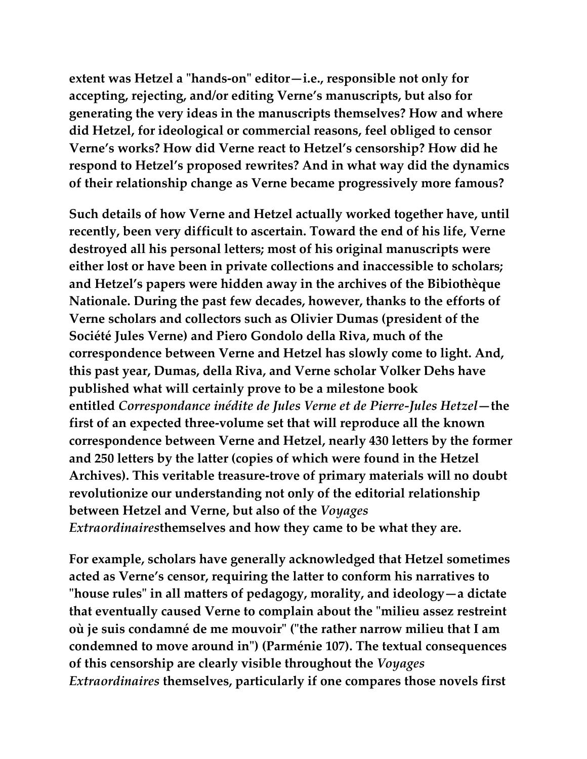**extent was Hetzel a "hands-on" editor—i.e., responsible not only for accepting, rejecting, and/or editing Verne's manuscripts, but also for generating the very ideas in the manuscripts themselves? How and where did Hetzel, for ideological or commercial reasons, feel obliged to censor Verne's works? How did Verne react to Hetzel's censorship? How did he respond to Hetzel's proposed rewrites? And in what way did the dynamics of their relationship change as Verne became progressively more famous?**

**Such details of how Verne and Hetzel actually worked together have, until recently, been very difficult to ascertain. Toward the end of his life, Verne destroyed all his personal letters; most of his original manuscripts were either lost or have been in private collections and inaccessible to scholars; and Hetzel's papers were hidden away in the archives of the Bibiothèque Nationale. During the past few decades, however, thanks to the efforts of Verne scholars and collectors such as Olivier Dumas (president of the Société Jules Verne) and Piero Gondolo della Riva, much of the correspondence between Verne and Hetzel has slowly come to light. And, this past year, Dumas, della Riva, and Verne scholar Volker Dehs have published what will certainly prove to be a milestone book entitled** *Correspondance inédite de Jules Verne et de Pierre-Jules Hetzel***—the first of an expected three-volume set that will reproduce all the known correspondence between Verne and Hetzel, nearly 430 letters by the former and 250 letters by the latter (copies of which were found in the Hetzel Archives). This veritable treasure-trove of primary materials will no doubt revolutionize our understanding not only of the editorial relationship between Hetzel and Verne, but also of the** *Voyages Extraordinaires***themselves and how they came to be what they are.**

**For example, scholars have generally acknowledged that Hetzel sometimes acted as Verne's censor, requiring the latter to conform his narratives to "house rules" in all matters of pedagogy, morality, and ideology—a dictate that eventually caused Verne to complain about the "milieu assez restreint où je suis condamné de me mouvoir" ("the rather narrow milieu that I am condemned to move around in") (Parménie 107). The textual consequences of this censorship are clearly visible throughout the** *Voyages Extraordinaires* **themselves, particularly if one compares those novels first**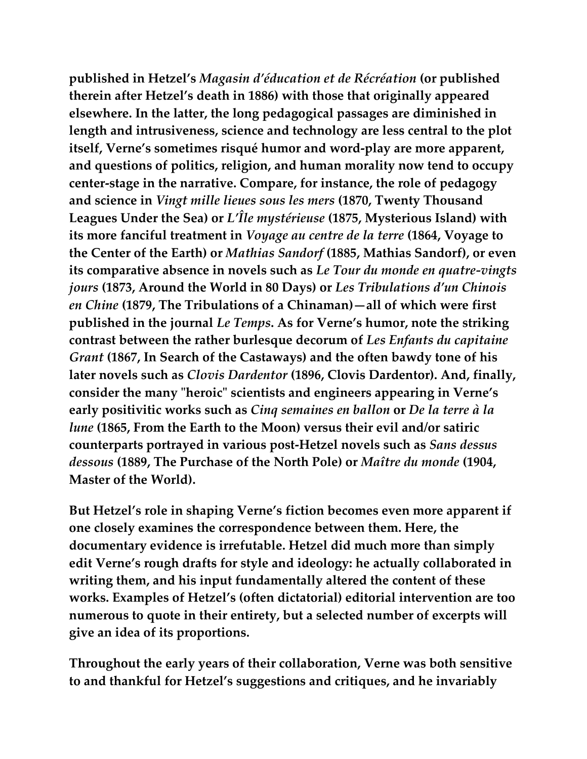**published in Hetzel's** *Magasin d'éducation et de Récréation* **(or published therein after Hetzel's death in 1886) with those that originally appeared elsewhere. In the latter, the long pedagogical passages are diminished in length and intrusiveness, science and technology are less central to the plot itself, Verne's sometimes risqué humor and word-play are more apparent, and questions of politics, religion, and human morality now tend to occupy center-stage in the narrative. Compare, for instance, the role of pedagogy and science in** *Vingt mille lieues sous les mers* **(1870, Twenty Thousand Leagues Under the Sea) or** *L'Île mystérieuse* **(1875, Mysterious Island) with its more fanciful treatment in** *Voyage au centre de la terre* **(1864, Voyage to the Center of the Earth) or** *Mathias Sandorf* **(1885, Mathias Sandorf), or even its comparative absence in novels such as** *Le Tour du monde en quatre-vingts jours* **(1873, Around the World in 80 Days) or** *Les Tribulations d'un Chinois en Chine* **(1879, The Tribulations of a Chinaman)—all of which were first published in the journal** *Le Temps***. As for Verne's humor, note the striking contrast between the rather burlesque decorum of** *Les Enfants du capitaine Grant* **(1867, In Search of the Castaways) and the often bawdy tone of his later novels such as** *Clovis Dardentor* **(1896, Clovis Dardentor). And, finally, consider the many "heroic" scientists and engineers appearing in Verne's early positivitic works such as** *Cinq semaines en ballon* **or** *De la terre à la lune* **(1865, From the Earth to the Moon) versus their evil and/or satiric counterparts portrayed in various post-Hetzel novels such as** *Sans dessus dessous* **(1889, The Purchase of the North Pole) or** *Maître du monde* **(1904, Master of the World).**

**But Hetzel's role in shaping Verne's fiction becomes even more apparent if one closely examines the correspondence between them. Here, the documentary evidence is irrefutable. Hetzel did much more than simply edit Verne's rough drafts for style and ideology: he actually collaborated in writing them, and his input fundamentally altered the content of these works. Examples of Hetzel's (often dictatorial) editorial intervention are too numerous to quote in their entirety, but a selected number of excerpts will give an idea of its proportions.**

**Throughout the early years of their collaboration, Verne was both sensitive to and thankful for Hetzel's suggestions and critiques, and he invariably**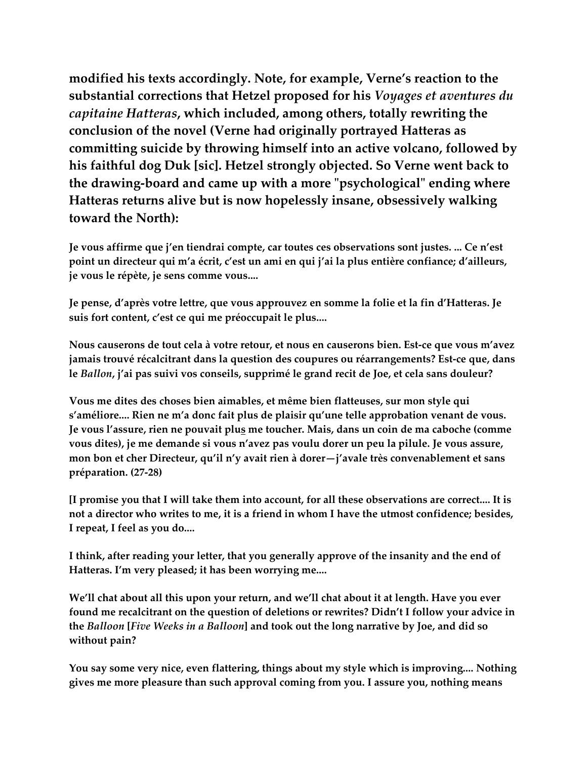**modified his texts accordingly. Note, for example, Verne's reaction to the substantial corrections that Hetzel proposed for his** *Voyages et aventures du capitaine Hatteras***, which included, among others, totally rewriting the conclusion of the novel (Verne had originally portrayed Hatteras as committing suicide by throwing himself into an active volcano, followed by his faithful dog Duk [sic]. Hetzel strongly objected. So Verne went back to the drawing-board and came up with a more "psychological" ending where Hatteras returns alive but is now hopelessly insane, obsessively walking toward the North):**

**Je vous affirme que j'en tiendrai compte, car toutes ces observations sont justes. ... Ce n'est point un directeur qui m'a écrit, c'est un ami en qui j'ai la plus entière confiance; d'ailleurs, je vous le répète, je sens comme vous....**

**Je pense, d'après votre lettre, que vous approuvez en somme la folie et la fin d'Hatteras. Je suis fort content, c'est ce qui me préoccupait le plus....**

**Nous causerons de tout cela à votre retour, et nous en causerons bien. Est-ce que vous m'avez jamais trouvé récalcitrant dans la question des coupures ou réarrangements? Est-ce que, dans le** *Ballon***, j'ai pas suivi vos conseils, supprimé le grand recit de Joe, et cela sans douleur?**

**Vous me dites des choses bien aimables, et même bien flatteuses, sur mon style qui s'améliore.... Rien ne m'a donc fait plus de plaisir qu'une telle approbation venant de vous. Je vous l'assure, rien ne pouvait plus me toucher. Mais, dans un coin de ma caboche (comme vous dites), je me demande si vous n'avez pas voulu dorer un peu la pilule. Je vous assure, mon bon et cher Directeur, qu'il n'y avait rien à dorer—j'avale très convenablement et sans préparation. (27-28)**

**[I promise you that I will take them into account, for all these observations are correct.... It is not a director who writes to me, it is a friend in whom I have the utmost confidence; besides, I repeat, I feel as you do....**

**I think, after reading your letter, that you generally approve of the insanity and the end of Hatteras. I'm very pleased; it has been worrying me....**

**We'll chat about all this upon your return, and we'll chat about it at length. Have you ever found me recalcitrant on the question of deletions or rewrites? Didn't I follow your advice in the** *Balloon* **[***Five Weeks in a Balloon***] and took out the long narrative by Joe, and did so without pain?**

**You say some very nice, even flattering, things about my style which is improving.... Nothing gives me more pleasure than such approval coming from you. I assure you, nothing means**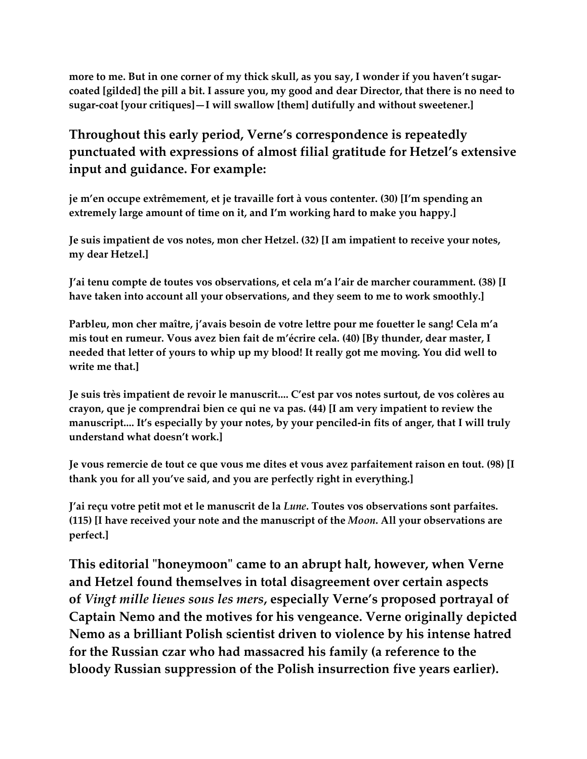**more to me. But in one corner of my thick skull, as you say, I wonder if you haven't sugarcoated [gilded] the pill a bit. I assure you, my good and dear Director, that there is no need to sugar-coat [your critiques]—I will swallow [them] dutifully and without sweetener.]**

## **Throughout this early period, Verne's correspondence is repeatedly punctuated with expressions of almost filial gratitude for Hetzel's extensive input and guidance. For example:**

**je m'en occupe extrêmement, et je travaille fort à vous contenter. (30) [I'm spending an extremely large amount of time on it, and I'm working hard to make you happy.]**

**Je suis impatient de vos notes, mon cher Hetzel. (32) [I am impatient to receive your notes, my dear Hetzel.]**

**J'ai tenu compte de toutes vos observations, et cela m'a l'air de marcher couramment. (38) [I have taken into account all your observations, and they seem to me to work smoothly.]**

**Parbleu, mon cher maître, j'avais besoin de votre lettre pour me fouetter le sang! Cela m'a mis tout en rumeur. Vous avez bien fait de m'écrire cela. (40) [By thunder, dear master, I needed that letter of yours to whip up my blood! It really got me moving. You did well to write me that.]**

**Je suis très impatient de revoir le manuscrit.... C'est par vos notes surtout, de vos colères au crayon, que je comprendrai bien ce qui ne va pas. (44) [I am very impatient to review the manuscript.... It's especially by your notes, by your penciled-in fits of anger, that I will truly understand what doesn't work.]**

**Je vous remercie de tout ce que vous me dites et vous avez parfaitement raison en tout. (98) [I thank you for all you've said, and you are perfectly right in everything.]**

**J'ai reçu votre petit mot et le manuscrit de la** *Lune***. Toutes vos observations sont parfaites. (115) [I have received your note and the manuscript of the** *Moon***. All your observations are perfect.]**

**This editorial "honeymoon" came to an abrupt halt, however, when Verne and Hetzel found themselves in total disagreement over certain aspects of** *Vingt mille lieues sous les mers***, especially Verne's proposed portrayal of Captain Nemo and the motives for his vengeance. Verne originally depicted Nemo as a brilliant Polish scientist driven to violence by his intense hatred for the Russian czar who had massacred his family (a reference to the bloody Russian suppression of the Polish insurrection five years earlier).**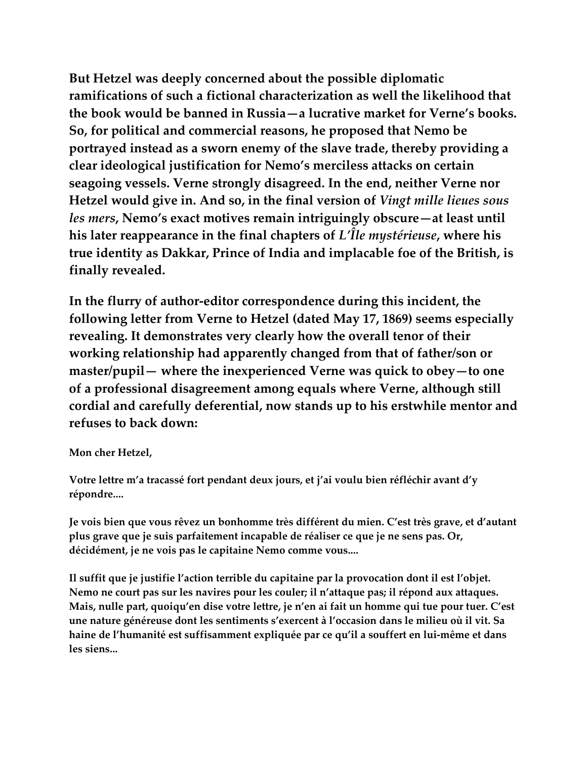**But Hetzel was deeply concerned about the possible diplomatic ramifications of such a fictional characterization as well the likelihood that the book would be banned in Russia—a lucrative market for Verne's books. So, for political and commercial reasons, he proposed that Nemo be portrayed instead as a sworn enemy of the slave trade, thereby providing a clear ideological justification for Nemo's merciless attacks on certain seagoing vessels. Verne strongly disagreed. In the end, neither Verne nor Hetzel would give in. And so, in the final version of** *Vingt mille lieues sous les mers***, Nemo's exact motives remain intriguingly obscure—at least until his later reappearance in the final chapters of** *L'Île mystérieuse***, where his true identity as Dakkar, Prince of India and implacable foe of the British, is finally revealed.**

**In the flurry of author-editor correspondence during this incident, the following letter from Verne to Hetzel (dated May 17, 1869) seems especially revealing. It demonstrates very clearly how the overall tenor of their working relationship had apparently changed from that of father/son or master/pupil— where the inexperienced Verne was quick to obey—to one of a professional disagreement among equals where Verne, although still cordial and carefully deferential, now stands up to his erstwhile mentor and refuses to back down:**

**Mon cher Hetzel,**

**Votre lettre m'a tracassé fort pendant deux jours, et j'ai voulu bien réfléchir avant d'y répondre....**

**Je vois bien que vous rêvez un bonhomme très différent du mien. C'est très grave, et d'autant plus grave que je suis parfaitement incapable de réaliser ce que je ne sens pas. Or, décidément, je ne vois pas le capitaine Nemo comme vous....**

**Il suffit que je justifie l'action terrible du capitaine par la provocation dont il est l'objet. Nemo ne court pas sur les navires pour les couler; il n'attaque pas; il répond aux attaques. Mais, nulle part, quoiqu'en dise votre lettre, je n'en ai fait un homme qui tue pour tuer. C'est une nature généreuse dont les sentiments s'exercent à l'occasion dans le milieu où il vit. Sa haine de l'humanité est suffisamment expliquée par ce qu'il a souffert en lui-même et dans les siens...**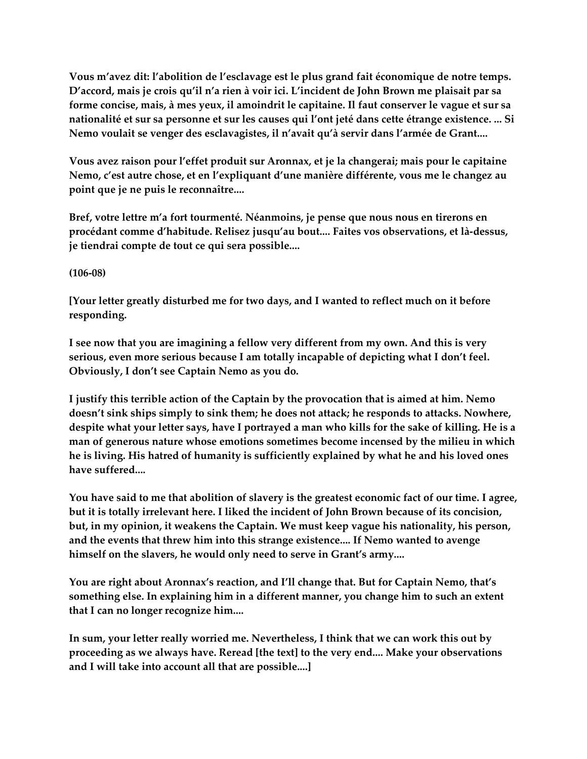**Vous m'avez dit: l'abolition de l'esclavage est le plus grand fait économique de notre temps. D'accord, mais je crois qu'il n'a rien à voir ici. L'incident de John Brown me plaisait par sa forme concise, mais, à mes yeux, il amoindrit le capitaine. Il faut conserver le vague et sur sa nationalité et sur sa personne et sur les causes qui l'ont jeté dans cette étrange existence. ... Si Nemo voulait se venger des esclavagistes, il n'avait qu'à servir dans l'armée de Grant....**

**Vous avez raison pour l'effet produit sur Aronnax, et je la changerai; mais pour le capitaine Nemo, c'est autre chose, et en l'expliquant d'une manière différente, vous me le changez au point que je ne puis le reconnaître....**

**Bref, votre lettre m'a fort tourmenté. Néanmoins, je pense que nous nous en tirerons en procédant comme d'habitude. Relisez jusqu'au bout.... Faites vos observations, et là-dessus, je tiendrai compte de tout ce qui sera possible....**

**(106-08)**

**[Your letter greatly disturbed me for two days, and I wanted to reflect much on it before responding.**

**I see now that you are imagining a fellow very different from my own. And this is very serious, even more serious because I am totally incapable of depicting what I don't feel. Obviously, I don't see Captain Nemo as you do.**

**I justify this terrible action of the Captain by the provocation that is aimed at him. Nemo doesn't sink ships simply to sink them; he does not attack; he responds to attacks. Nowhere, despite what your letter says, have I portrayed a man who kills for the sake of killing. He is a man of generous nature whose emotions sometimes become incensed by the milieu in which he is living. His hatred of humanity is sufficiently explained by what he and his loved ones have suffered....**

**You have said to me that abolition of slavery is the greatest economic fact of our time. I agree, but it is totally irrelevant here. I liked the incident of John Brown because of its concision, but, in my opinion, it weakens the Captain. We must keep vague his nationality, his person, and the events that threw him into this strange existence.... If Nemo wanted to avenge himself on the slavers, he would only need to serve in Grant's army....**

**You are right about Aronnax's reaction, and I'll change that. But for Captain Nemo, that's something else. In explaining him in a different manner, you change him to such an extent that I can no longer recognize him....**

**In sum, your letter really worried me. Nevertheless, I think that we can work this out by proceeding as we always have. Reread [the text] to the very end.... Make your observations and I will take into account all that are possible....]**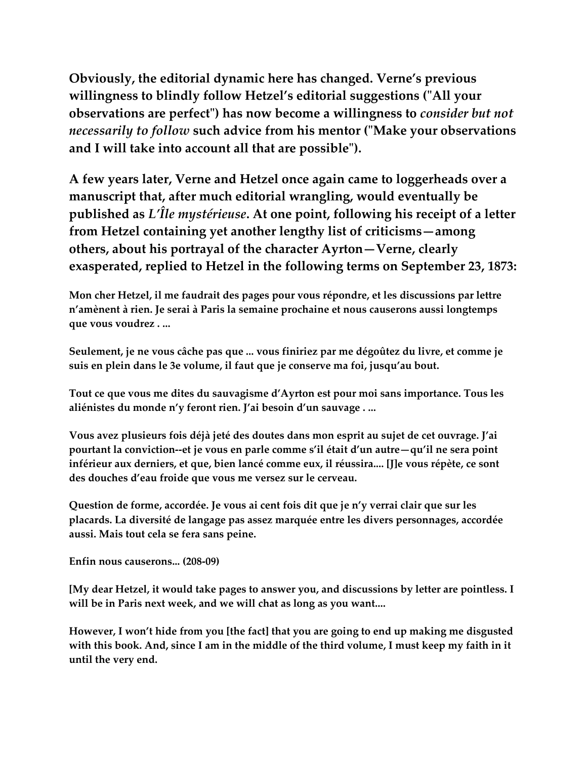**Obviously, the editorial dynamic here has changed. Verne's previous willingness to blindly follow Hetzel's editorial suggestions ("All your observations are perfect") has now become a willingness to** *consider but not necessarily to follow* **such advice from his mentor ("Make your observations and I will take into account all that are possible").**

**A few years later, Verne and Hetzel once again came to loggerheads over a manuscript that, after much editorial wrangling, would eventually be published as** *L'Île mystérieuse***. At one point, following his receipt of a letter from Hetzel containing yet another lengthy list of criticisms—among others, about his portrayal of the character Ayrton—Verne, clearly exasperated, replied to Hetzel in the following terms on September 23, 1873:**

**Mon cher Hetzel, il me faudrait des pages pour vous répondre, et les discussions par lettre n'amènent à rien. Je serai à Paris la semaine prochaine et nous causerons aussi longtemps que vous voudrez . ...**

**Seulement, je ne vous câche pas que ... vous finiriez par me dégoûtez du livre, et comme je suis en plein dans le 3e volume, il faut que je conserve ma foi, jusqu'au bout.**

**Tout ce que vous me dites du sauvagisme d'Ayrton est pour moi sans importance. Tous les aliénistes du monde n'y feront rien. J'ai besoin d'un sauvage . ...**

**Vous avez plusieurs fois déjà jeté des doutes dans mon esprit au sujet de cet ouvrage. J'ai pourtant la conviction--et je vous en parle comme s'il était d'un autre—qu'il ne sera point inférieur aux derniers, et que, bien lancé comme eux, il réussira.... [J]e vous répète, ce sont des douches d'eau froide que vous me versez sur le cerveau.**

**Question de forme, accordée. Je vous ai cent fois dit que je n'y verrai clair que sur les placards. La diversité de langage pas assez marquée entre les divers personnages, accordée aussi. Mais tout cela se fera sans peine.**

**Enfin nous causerons... (208-09)**

**[My dear Hetzel, it would take pages to answer you, and discussions by letter are pointless. I will be in Paris next week, and we will chat as long as you want....**

**However, I won't hide from you [the fact] that you are going to end up making me disgusted with this book. And, since I am in the middle of the third volume, I must keep my faith in it until the very end.**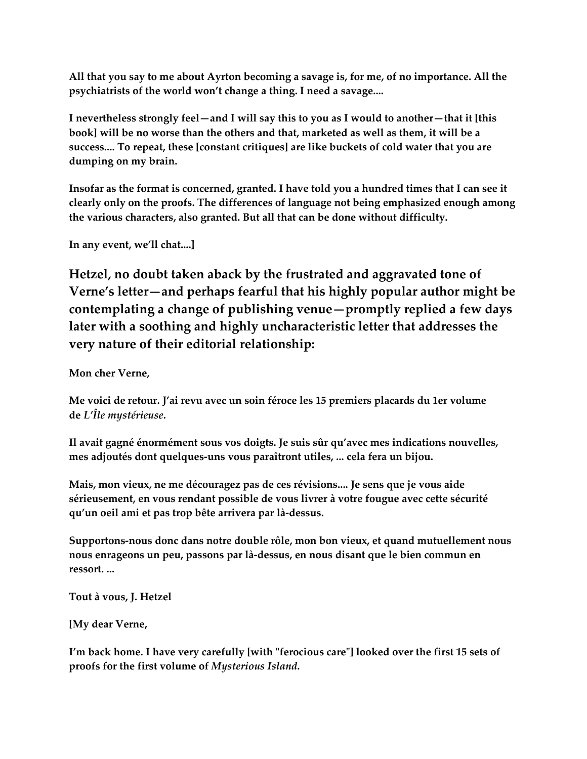**All that you say to me about Ayrton becoming a savage is, for me, of no importance. All the psychiatrists of the world won't change a thing. I need a savage....**

**I nevertheless strongly feel—and I will say this to you as I would to another—that it [this book] will be no worse than the others and that, marketed as well as them, it will be a success.... To repeat, these [constant critiques] are like buckets of cold water that you are dumping on my brain.**

**Insofar as the format is concerned, granted. I have told you a hundred times that I can see it clearly only on the proofs. The differences of language not being emphasized enough among the various characters, also granted. But all that can be done without difficulty.**

**In any event, we'll chat....]**

**Hetzel, no doubt taken aback by the frustrated and aggravated tone of Verne's letter—and perhaps fearful that his highly popular author might be contemplating a change of publishing venue—promptly replied a few days later with a soothing and highly uncharacteristic letter that addresses the very nature of their editorial relationship:**

**Mon cher Verne,**

**Me voici de retour. J'ai revu avec un soin féroce les 15 premiers placards du 1er volume de** *L'Île mystérieuse***.**

**Il avait gagné énormément sous vos doigts. Je suis sûr qu'avec mes indications nouvelles, mes adjoutés dont quelques-uns vous paraîtront utiles, ... cela fera un bijou.**

**Mais, mon vieux, ne me découragez pas de ces révisions.... Je sens que je vous aide sérieusement, en vous rendant possible de vous livrer à votre fougue avec cette sécurité qu'un oeil ami et pas trop bête arrivera par là-dessus.**

**Supportons-nous donc dans notre double rôle, mon bon vieux, et quand mutuellement nous nous enrageons un peu, passons par là-dessus, en nous disant que le bien commun en ressort. ...**

**Tout à vous, J. Hetzel**

**[My dear Verne,**

**I'm back home. I have very carefully [with "ferocious care"] looked over the first 15 sets of proofs for the first volume of** *Mysterious Island***.**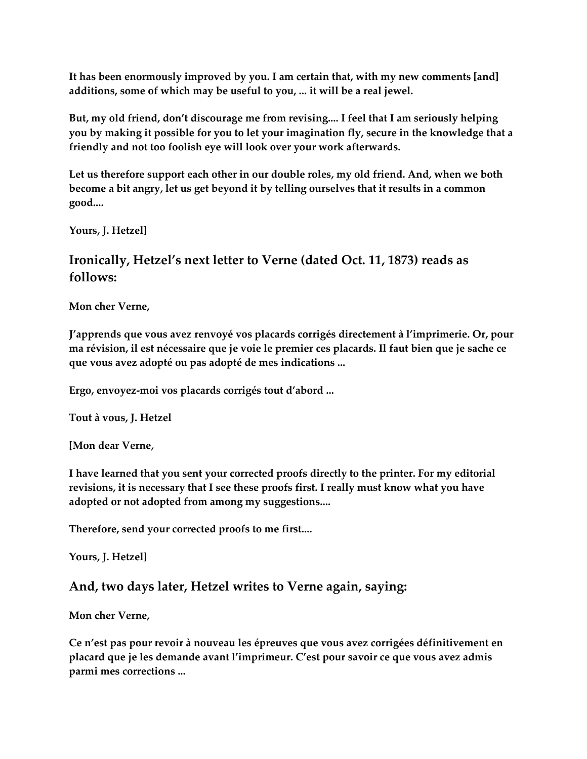**It has been enormously improved by you. I am certain that, with my new comments [and] additions, some of which may be useful to you, ... it will be a real jewel.**

**But, my old friend, don't discourage me from revising.... I feel that I am seriously helping you by making it possible for you to let your imagination fly, secure in the knowledge that a friendly and not too foolish eye will look over your work afterwards.**

**Let us therefore support each other in our double roles, my old friend. And, when we both become a bit angry, let us get beyond it by telling ourselves that it results in a common good....**

**Yours, J. Hetzel]**

#### **Ironically, Hetzel's next letter to Verne (dated Oct. 11, 1873) reads as follows:**

**Mon cher Verne,**

**J'apprends que vous avez renvoyé vos placards corrigés directement à l'imprimerie. Or, pour ma révision, il est nécessaire que je voie le premier ces placards. Il faut bien que je sache ce que vous avez adopté ou pas adopté de mes indications ...**

**Ergo, envoyez-moi vos placards corrigés tout d'abord ...**

**Tout à vous, J. Hetzel**

**[Mon dear Verne,**

**I have learned that you sent your corrected proofs directly to the printer. For my editorial revisions, it is necessary that I see these proofs first. I really must know what you have adopted or not adopted from among my suggestions....**

**Therefore, send your corrected proofs to me first....**

**Yours, J. Hetzel]**

#### **And, two days later, Hetzel writes to Verne again, saying:**

**Mon cher Verne,**

**Ce n'est pas pour revoir à nouveau les épreuves que vous avez corrigées définitivement en placard que je les demande avant l'imprimeur. C'est pour savoir ce que vous avez admis parmi mes corrections ...**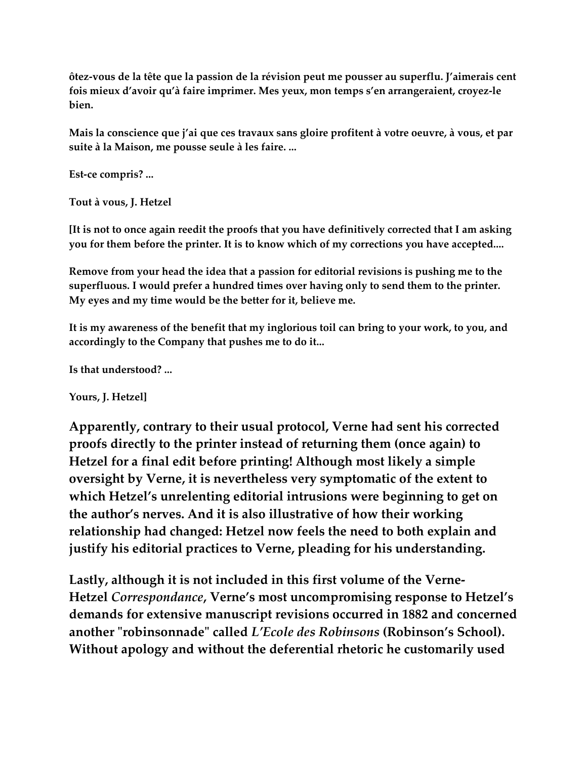**ôtez-vous de la tête que la passion de la révision peut me pousser au superflu. J'aimerais cent fois mieux d'avoir qu'à faire imprimer. Mes yeux, mon temps s'en arrangeraient, croyez-le bien.**

**Mais la conscience que j'ai que ces travaux sans gloire profitent à votre oeuvre, à vous, et par suite à la Maison, me pousse seule à les faire. ...**

**Est-ce compris? ...**

**Tout à vous, J. Hetzel**

**[It is not to once again reedit the proofs that you have definitively corrected that I am asking you for them before the printer. It is to know which of my corrections you have accepted....**

**Remove from your head the idea that a passion for editorial revisions is pushing me to the superfluous. I would prefer a hundred times over having only to send them to the printer. My eyes and my time would be the better for it, believe me.**

**It is my awareness of the benefit that my inglorious toil can bring to your work, to you, and accordingly to the Company that pushes me to do it...**

**Is that understood? ...**

**Yours, J. Hetzel]**

**Apparently, contrary to their usual protocol, Verne had sent his corrected proofs directly to the printer instead of returning them (once again) to Hetzel for a final edit before printing! Although most likely a simple oversight by Verne, it is nevertheless very symptomatic of the extent to which Hetzel's unrelenting editorial intrusions were beginning to get on the author's nerves. And it is also illustrative of how their working relationship had changed: Hetzel now feels the need to both explain and justify his editorial practices to Verne, pleading for his understanding.**

**Lastly, although it is not included in this first volume of the Verne-Hetzel** *Correspondance***, Verne's most uncompromising response to Hetzel's demands for extensive manuscript revisions occurred in 1882 and concerned another "robinsonnade" called** *L'Ecole des Robinsons* **(Robinson's School). Without apology and without the deferential rhetoric he customarily used**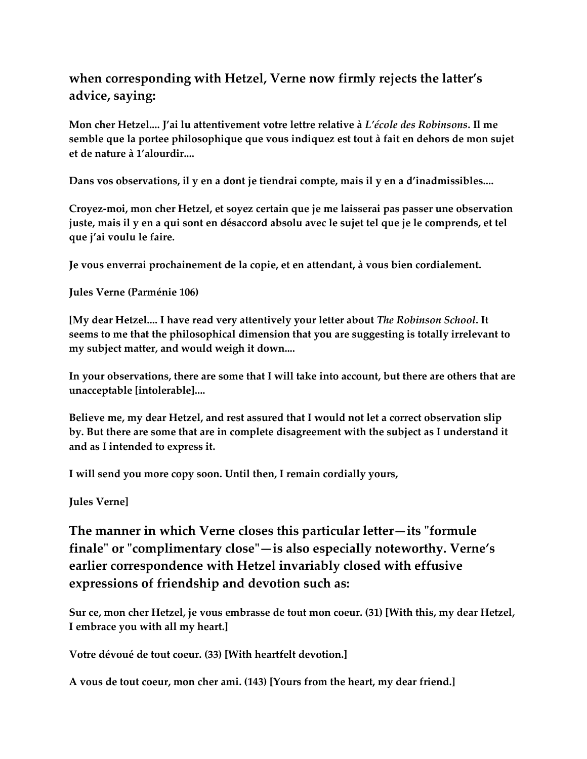## **when corresponding with Hetzel, Verne now firmly rejects the latter's advice, saying:**

**Mon cher Hetzel.... J'ai lu attentivement votre lettre relative à** *L'école des Robinsons***. Il me semble que la portee philosophique que vous indiquez est tout à fait en dehors de mon sujet et de nature à 1'alourdir....**

**Dans vos observations, il y en a dont je tiendrai compte, mais il y en a d'inadmissibles....**

**Croyez-moi, mon cher Hetzel, et soyez certain que je me laisserai pas passer une observation juste, mais il y en a qui sont en désaccord absolu avec le sujet tel que je le comprends, et tel que j'ai voulu le faire.**

**Je vous enverrai prochainement de la copie, et en attendant, à vous bien cordialement.**

**Jules Verne (Parménie 106)**

**[My dear Hetzel.... I have read very attentively your letter about** *The Robinson School***. It seems to me that the philosophical dimension that you are suggesting is totally irrelevant to my subject matter, and would weigh it down....**

**In your observations, there are some that I will take into account, but there are others that are unacceptable [intolerable]....**

**Believe me, my dear Hetzel, and rest assured that I would not let a correct observation slip by. But there are some that are in complete disagreement with the subject as I understand it and as I intended to express it.**

**I will send you more copy soon. Until then, I remain cordially yours,**

**Jules Verne]**

**The manner in which Verne closes this particular letter—its "formule finale" or "complimentary close"—is also especially noteworthy. Verne's earlier correspondence with Hetzel invariably closed with effusive expressions of friendship and devotion such as:**

**Sur ce, mon cher Hetzel, je vous embrasse de tout mon coeur. (31) [With this, my dear Hetzel, I embrace you with all my heart.]**

**Votre dévoué de tout coeur. (33) [With heartfelt devotion.]**

**A vous de tout coeur, mon cher ami. (143) [Yours from the heart, my dear friend.]**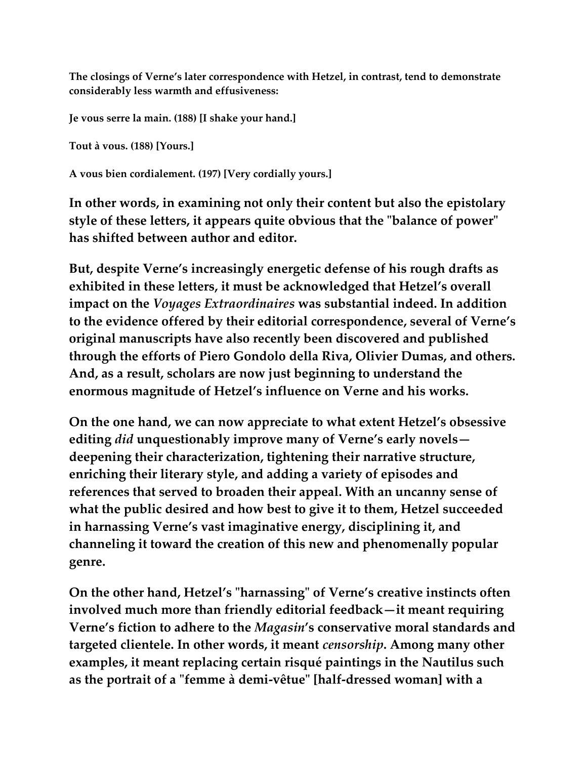**The closings of Verne's later correspondence with Hetzel, in contrast, tend to demonstrate considerably less warmth and effusiveness:**

**Je vous serre la main. (188) [I shake your hand.]**

**Tout à vous. (188) [Yours.]**

**A vous bien cordialement. (197) [Very cordially yours.]**

**In other words, in examining not only their content but also the epistolary style of these letters, it appears quite obvious that the "balance of power" has shifted between author and editor.**

**But, despite Verne's increasingly energetic defense of his rough drafts as exhibited in these letters, it must be acknowledged that Hetzel's overall impact on the** *Voyages Extraordinaires* **was substantial indeed. In addition to the evidence offered by their editorial correspondence, several of Verne's original manuscripts have also recently been discovered and published through the efforts of Piero Gondolo della Riva, Olivier Dumas, and others. And, as a result, scholars are now just beginning to understand the enormous magnitude of Hetzel's influence on Verne and his works.**

**On the one hand, we can now appreciate to what extent Hetzel's obsessive editing** *did* **unquestionably improve many of Verne's early novels deepening their characterization, tightening their narrative structure, enriching their literary style, and adding a variety of episodes and references that served to broaden their appeal. With an uncanny sense of what the public desired and how best to give it to them, Hetzel succeeded in harnassing Verne's vast imaginative energy, disciplining it, and channeling it toward the creation of this new and phenomenally popular genre.**

**On the other hand, Hetzel's "harnassing" of Verne's creative instincts often involved much more than friendly editorial feedback—it meant requiring Verne's fiction to adhere to the** *Magasin***'s conservative moral standards and targeted clientele. In other words, it meant** *censorship***. Among many other examples, it meant replacing certain risqué paintings in the Nautilus such as the portrait of a "femme à demi-vêtue" [half-dressed woman] with a**